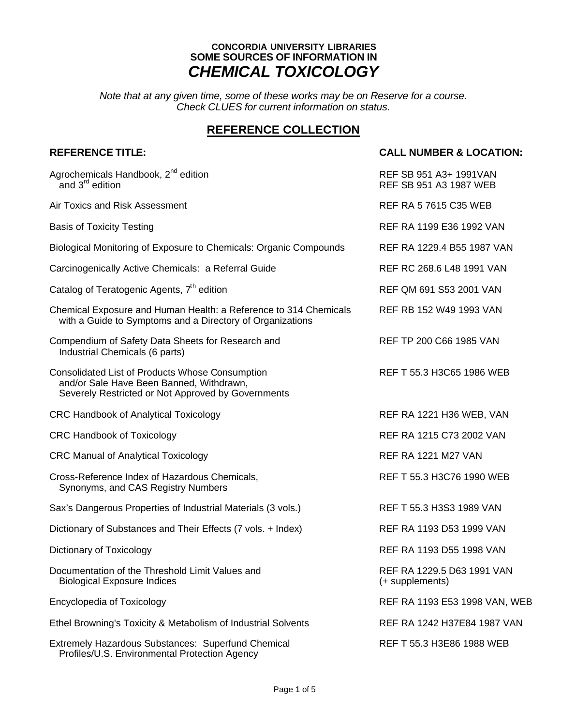### **CONCORDIA UNIVERSITY LIBRARIES SOME SOURCES OF INFORMATION IN** *CHEMICAL TOXICOLOGY*

*Note that at any given time, some of these works may be on Reserve for a course. Check CLUES for current information on status.*

## **REFERENCE COLLECTION**

#### **REFERENCE TITLE: CALL NUMBER & LOCATION:**

| Agrochemicals Handbook, 2 <sup>nd</sup> edition<br>and 3 <sup>rd</sup> edition                                                                    | REF SB 951 A3+ 1991VAN<br>REF SB 951 A3 1987 WEB |
|---------------------------------------------------------------------------------------------------------------------------------------------------|--------------------------------------------------|
| Air Toxics and Risk Assessment                                                                                                                    | <b>REF RA 5 7615 C35 WEB</b>                     |
| <b>Basis of Toxicity Testing</b>                                                                                                                  | REF RA 1199 E36 1992 VAN                         |
| Biological Monitoring of Exposure to Chemicals: Organic Compounds                                                                                 | REF RA 1229.4 B55 1987 VAN                       |
| Carcinogenically Active Chemicals: a Referral Guide                                                                                               | REF RC 268.6 L48 1991 VAN                        |
| Catalog of Teratogenic Agents, 7 <sup>th</sup> edition                                                                                            | REF QM 691 S53 2001 VAN                          |
| Chemical Exposure and Human Health: a Reference to 314 Chemicals<br>with a Guide to Symptoms and a Directory of Organizations                     | REF RB 152 W49 1993 VAN                          |
| Compendium of Safety Data Sheets for Research and<br>Industrial Chemicals (6 parts)                                                               | REF TP 200 C66 1985 VAN                          |
| Consolidated List of Products Whose Consumption<br>and/or Sale Have Been Banned, Withdrawn,<br>Severely Restricted or Not Approved by Governments | REF T 55.3 H3C65 1986 WEB                        |
| <b>CRC Handbook of Analytical Toxicology</b>                                                                                                      | <b>REF RA 1221 H36 WEB, VAN</b>                  |
| <b>CRC Handbook of Toxicology</b>                                                                                                                 | REF RA 1215 C73 2002 VAN                         |
| <b>CRC Manual of Analytical Toxicology</b>                                                                                                        | <b>REF RA 1221 M27 VAN</b>                       |
| Cross-Reference Index of Hazardous Chemicals,<br>Synonyms, and CAS Registry Numbers                                                               | REF T 55.3 H3C76 1990 WEB                        |
| Sax's Dangerous Properties of Industrial Materials (3 vols.)                                                                                      | REF T 55.3 H3S3 1989 VAN                         |
| Dictionary of Substances and Their Effects (7 vols. + Index)                                                                                      | REF RA 1193 D53 1999 VAN                         |
| Dictionary of Toxicology                                                                                                                          | REF RA 1193 D55 1998 VAN                         |
| Documentation of the Threshold Limit Values and<br><b>Biological Exposure Indices</b>                                                             | REF RA 1229.5 D63 1991 VAN<br>(+ supplements)    |
| <b>Encyclopedia of Toxicology</b>                                                                                                                 | REF RA 1193 E53 1998 VAN, WEB                    |
| Ethel Browning's Toxicity & Metabolism of Industrial Solvents                                                                                     | REF RA 1242 H37E84 1987 VAN                      |
| Extremely Hazardous Substances: Superfund Chemical<br>Profiles/U.S. Environmental Protection Agency                                               | REF T 55.3 H3E86 1988 WEB                        |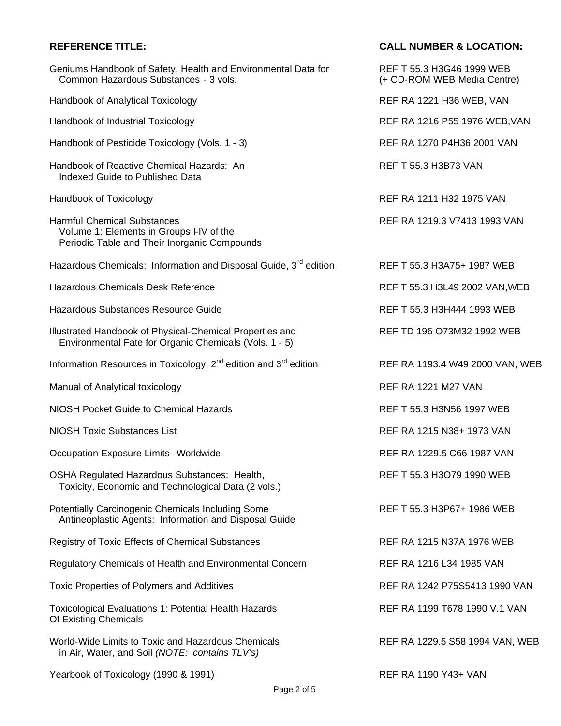### **REFERENCE TITLE: CALL NUMBER & LOCATION:**

| Geniums Handbook of Safety, Health and Environmental Data for<br>Common Hazardous Substances - 3 vols.                         | REF T 55.3 H3G46 1999 WEB<br>(+ CD-ROM WEB Media Centre) |
|--------------------------------------------------------------------------------------------------------------------------------|----------------------------------------------------------|
| Handbook of Analytical Toxicology                                                                                              | REF RA 1221 H36 WEB, VAN                                 |
| Handbook of Industrial Toxicology                                                                                              | REF RA 1216 P55 1976 WEB, VAN                            |
| Handbook of Pesticide Toxicology (Vols. 1 - 3)                                                                                 | REF RA 1270 P4H36 2001 VAN                               |
| Handbook of Reactive Chemical Hazards: An<br>Indexed Guide to Published Data                                                   | <b>REF T 55.3 H3B73 VAN</b>                              |
| Handbook of Toxicology                                                                                                         | REF RA 1211 H32 1975 VAN                                 |
| <b>Harmful Chemical Substances</b><br>Volume 1: Elements in Groups I-IV of the<br>Periodic Table and Their Inorganic Compounds | REF RA 1219.3 V7413 1993 VAN                             |
| Hazardous Chemicals: Information and Disposal Guide, 3 <sup>rd</sup> edition                                                   | REF T 55.3 H3A75+ 1987 WEB                               |
| <b>Hazardous Chemicals Desk Reference</b>                                                                                      | REF T 55.3 H3L49 2002 VAN, WEB                           |
| Hazardous Substances Resource Guide                                                                                            | REF T 55.3 H3H444 1993 WEB                               |
| Illustrated Handbook of Physical-Chemical Properties and<br>Environmental Fate for Organic Chemicals (Vols. 1 - 5)             | REF TD 196 O73M32 1992 WEB                               |
| Information Resources in Toxicology, $2^{nd}$ edition and $3^{rd}$ edition                                                     | REF RA 1193.4 W49 2000 VAN, WEB                          |
| Manual of Analytical toxicology                                                                                                | <b>REF RA 1221 M27 VAN</b>                               |
| <b>NIOSH Pocket Guide to Chemical Hazards</b>                                                                                  | REF T 55.3 H3N56 1997 WEB                                |
| <b>NIOSH Toxic Substances List</b>                                                                                             | REF RA 1215 N38+ 1973 VAN                                |
| Occupation Exposure Limits--Worldwide                                                                                          | REF RA 1229.5 C66 1987 VAN                               |
| OSHA Regulated Hazardous Substances: Health,<br>Toxicity, Economic and Technological Data (2 vols.)                            | REF T 55.3 H3O79 1990 WEB                                |
| Potentially Carcinogenic Chemicals Including Some<br>Antineoplastic Agents: Information and Disposal Guide                     | REF T 55.3 H3P67+ 1986 WEB                               |
| <b>Registry of Toxic Effects of Chemical Substances</b>                                                                        | REF RA 1215 N37A 1976 WEB                                |
| Regulatory Chemicals of Health and Environmental Concern                                                                       | REF RA 1216 L34 1985 VAN                                 |
| Toxic Properties of Polymers and Additives                                                                                     | REF RA 1242 P75S5413 1990 VAN                            |
| <b>Toxicological Evaluations 1: Potential Health Hazards</b><br>Of Existing Chemicals                                          | REF RA 1199 T678 1990 V.1 VAN                            |
| World-Wide Limits to Toxic and Hazardous Chemicals<br>in Air, Water, and Soil (NOTE: contains TLV's)                           | REF RA 1229.5 S58 1994 VAN, WEB                          |
| Yearbook of Toxicology (1990 & 1991)                                                                                           | REF RA 1190 Y43+ VAN                                     |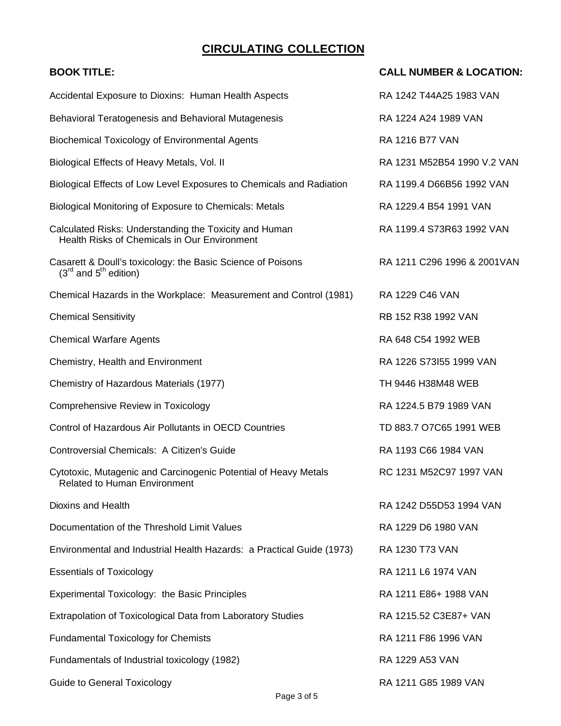# **CIRCULATING COLLECTION**

| <b>BOOK TITLE:</b>                                                                                     | <b>CALL NUMBER &amp; LOCATION:</b> |
|--------------------------------------------------------------------------------------------------------|------------------------------------|
| Accidental Exposure to Dioxins: Human Health Aspects                                                   | RA 1242 T44A25 1983 VAN            |
| Behavioral Teratogenesis and Behavioral Mutagenesis                                                    | RA 1224 A24 1989 VAN               |
| <b>Biochemical Toxicology of Environmental Agents</b>                                                  | RA 1216 B77 VAN                    |
| Biological Effects of Heavy Metals, Vol. II                                                            | RA 1231 M52B54 1990 V.2 VAN        |
| Biological Effects of Low Level Exposures to Chemicals and Radiation                                   | RA 1199.4 D66B56 1992 VAN          |
| Biological Monitoring of Exposure to Chemicals: Metals                                                 | RA 1229.4 B54 1991 VAN             |
| Calculated Risks: Understanding the Toxicity and Human<br>Health Risks of Chemicals in Our Environment | RA 1199.4 S73R63 1992 VAN          |
| Casarett & Doull's toxicology: the Basic Science of Poisons<br>$(3rd$ and $5th$ edition)               | RA 1211 C296 1996 & 2001 VAN       |
| Chemical Hazards in the Workplace: Measurement and Control (1981)                                      | RA 1229 C46 VAN                    |
| <b>Chemical Sensitivity</b>                                                                            | RB 152 R38 1992 VAN                |
| <b>Chemical Warfare Agents</b>                                                                         | RA 648 C54 1992 WEB                |
| Chemistry, Health and Environment                                                                      | RA 1226 S73I55 1999 VAN            |
| Chemistry of Hazardous Materials (1977)                                                                | TH 9446 H38M48 WEB                 |
| Comprehensive Review in Toxicology                                                                     | RA 1224.5 B79 1989 VAN             |
| Control of Hazardous Air Pollutants in OECD Countries                                                  | TD 883.7 O7C65 1991 WEB            |
| Controversial Chemicals: A Citizen's Guide                                                             | RA 1193 C66 1984 VAN               |
| Cytotoxic, Mutagenic and Carcinogenic Potential of Heavy Metals<br><b>Related to Human Environment</b> | RC 1231 M52C97 1997 VAN            |
| Dioxins and Health                                                                                     | RA 1242 D55D53 1994 VAN            |
| Documentation of the Threshold Limit Values                                                            | RA 1229 D6 1980 VAN                |
| Environmental and Industrial Health Hazards: a Practical Guide (1973)                                  | RA 1230 T73 VAN                    |
| <b>Essentials of Toxicology</b>                                                                        | RA 1211 L6 1974 VAN                |
| Experimental Toxicology: the Basic Principles                                                          | RA 1211 E86+ 1988 VAN              |
| Extrapolation of Toxicological Data from Laboratory Studies                                            | RA 1215.52 C3E87+ VAN              |
| <b>Fundamental Toxicology for Chemists</b>                                                             | RA 1211 F86 1996 VAN               |
| Fundamentals of Industrial toxicology (1982)                                                           | RA 1229 A53 VAN                    |
| <b>Guide to General Toxicology</b>                                                                     | RA 1211 G85 1989 VAN               |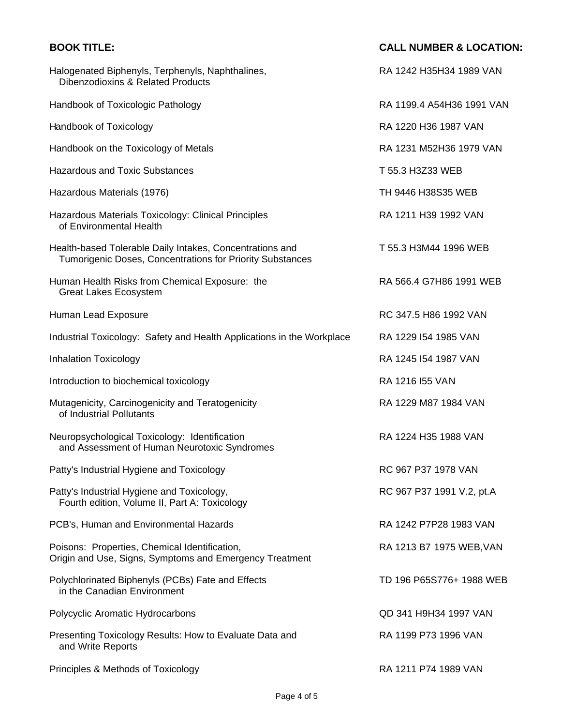| <b>BOOK TITLE:</b>                                                                                                    | <b>CALL NUMBER &amp; LOCATION:</b> |
|-----------------------------------------------------------------------------------------------------------------------|------------------------------------|
| Halogenated Biphenyls, Terphenyls, Naphthalines,<br>Dibenzodioxins & Related Products                                 | RA 1242 H35H34 1989 VAN            |
| Handbook of Toxicologic Pathology                                                                                     | RA 1199.4 A54H36 1991 VAN          |
| Handbook of Toxicology                                                                                                | RA 1220 H36 1987 VAN               |
| Handbook on the Toxicology of Metals                                                                                  | RA 1231 M52H36 1979 VAN            |
| <b>Hazardous and Toxic Substances</b>                                                                                 | T 55.3 H3Z33 WEB                   |
| Hazardous Materials (1976)                                                                                            | TH 9446 H38S35 WEB                 |
| Hazardous Materials Toxicology: Clinical Principles<br>of Environmental Health                                        | RA 1211 H39 1992 VAN               |
| Health-based Tolerable Daily Intakes, Concentrations and<br>Tumorigenic Doses, Concentrations for Priority Substances | T 55.3 H3M44 1996 WEB              |
| Human Health Risks from Chemical Exposure: the<br><b>Great Lakes Ecosystem</b>                                        | RA 566.4 G7H86 1991 WEB            |
| Human Lead Exposure                                                                                                   | RC 347.5 H86 1992 VAN              |
| Industrial Toxicology: Safety and Health Applications in the Workplace                                                | RA 1229 I54 1985 VAN               |
| <b>Inhalation Toxicology</b>                                                                                          | RA 1245 I54 1987 VAN               |
| Introduction to biochemical toxicology                                                                                | RA 1216 I55 VAN                    |
| Mutagenicity, Carcinogenicity and Teratogenicity<br>of Industrial Pollutants                                          | RA 1229 M87 1984 VAN               |
| Neuropsychological Toxicology: Identification<br>and Assessment of Human Neurotoxic Syndromes                         | RA 1224 H35 1988 VAN               |
| Patty's Industrial Hygiene and Toxicology                                                                             | RC 967 P37 1978 VAN                |
| Patty's Industrial Hygiene and Toxicology,<br>Fourth edition, Volume II, Part A: Toxicology                           | RC 967 P37 1991 V.2, pt.A          |
| PCB's, Human and Environmental Hazards                                                                                | RA 1242 P7P28 1983 VAN             |
| Poisons: Properties, Chemical Identification,<br>Origin and Use, Signs, Symptoms and Emergency Treatment              | RA 1213 B7 1975 WEB, VAN           |
| Polychlorinated Biphenyls (PCBs) Fate and Effects<br>in the Canadian Environment                                      | TD 196 P65S776+ 1988 WEB           |
| Polycyclic Aromatic Hydrocarbons                                                                                      | QD 341 H9H34 1997 VAN              |
| Presenting Toxicology Results: How to Evaluate Data and<br>and Write Reports                                          | RA 1199 P73 1996 VAN               |
| Principles & Methods of Toxicology                                                                                    | RA 1211 P74 1989 VAN               |